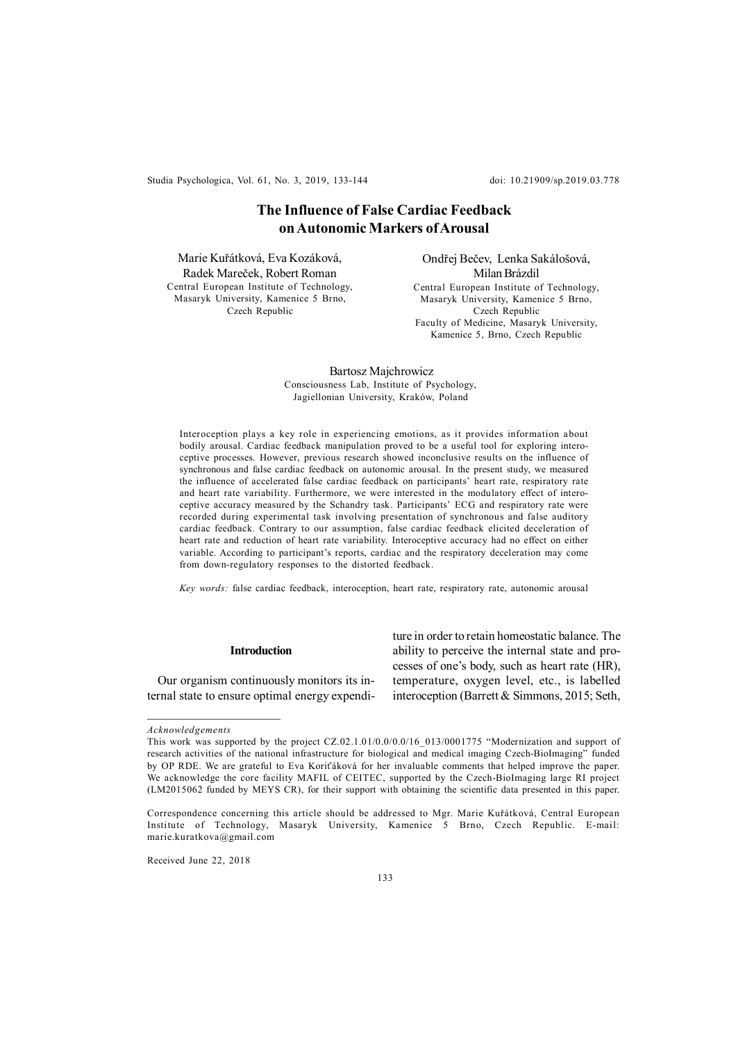Studia Psychologica, Vol. 61, No. 3, 2019, 133-144 doi: 10.21909/sp.2019.03.778

# **The Influence of False Cardiac Feedback on Autonomic Markers of Arousal**

Marie Kuřátková, Eva Kozáková, Radek Mareček, Robert Roman Central European Institute of Technology, Masaryk University, Kamenice 5 Brno, Czech Republic

Ondřej Bečev, Lenka Sakálošová, Milan Brázdil Central European Institute of Technology, Masaryk University, Kamenice 5 Brno, Czech Republic Faculty of Medicine, Masaryk University, Kamenice 5, Brno, Czech Republic

 Bartosz Majchrowicz Consciousness Lab, Institute of Psychology, Jagiellonian University, Kraków, Poland

Interoception plays a key role in experiencing emotions, as it provides information about bodily arousal. Cardiac feedback manipulation proved to be a useful tool for exploring interoceptive processes. However, previous research showed inconclusive results on the influence of synchronous and false cardiac feedback on autonomic arousal. In the present study, we measured the influence of accelerated false cardiac feedback on participants' heart rate, respiratory rate and heart rate variability. Furthermore, we were interested in the modulatory effect of interoceptive accuracy measured by the Schandry task. Participants' ECG and respiratory rate were recorded during experimental task involving presentation of synchronous and false auditory cardiac feedback. Contrary to our assumption, false cardiac feedback elicited deceleration of heart rate and reduction of heart rate variability. Interoceptive accuracy had no effect on either variable. According to participant's reports, cardiac and the respiratory deceleration may come from down-regulatory responses to the distorted feedback.

*Key words:* false cardiac feedback, interoception, heart rate, respiratory rate, autonomic arousal

# **Introduction**

Our organism continuously monitors its internal state to ensure optimal energy expenditure in order to retain homeostatic balance. The ability to perceive the internal state and processes of one's body, such as heart rate (HR), temperature, oxygen level, etc., is labelled interoception (Barrett & Simmons, 2015; Seth,

Received June 22, 2018

*Acknowledgements*

This work was supported by the project CZ.02.1.01/0.0/0.0/16\_013/0001775 "Modernization and support of research activities of the national infrastructure for biological and medical imaging Czech-BioImaging" funded by OP RDE. We are grateful to Eva Koriťáková for her invaluable comments that helped improve the paper. We acknowledge the core facility MAFIL of CEITEC, supported by the Czech-BioImaging large RI project (LM2015062 funded by MEYS CR), for their support with obtaining the scientific data presented in this paper.

Correspondence concerning this article should be addressed to Mgr. Marie Kuřátková, Central European Institute of Technology, Masaryk University, Kamenice 5 Brno, Czech Republic. E-mail: marie.kuratkova@gmail.com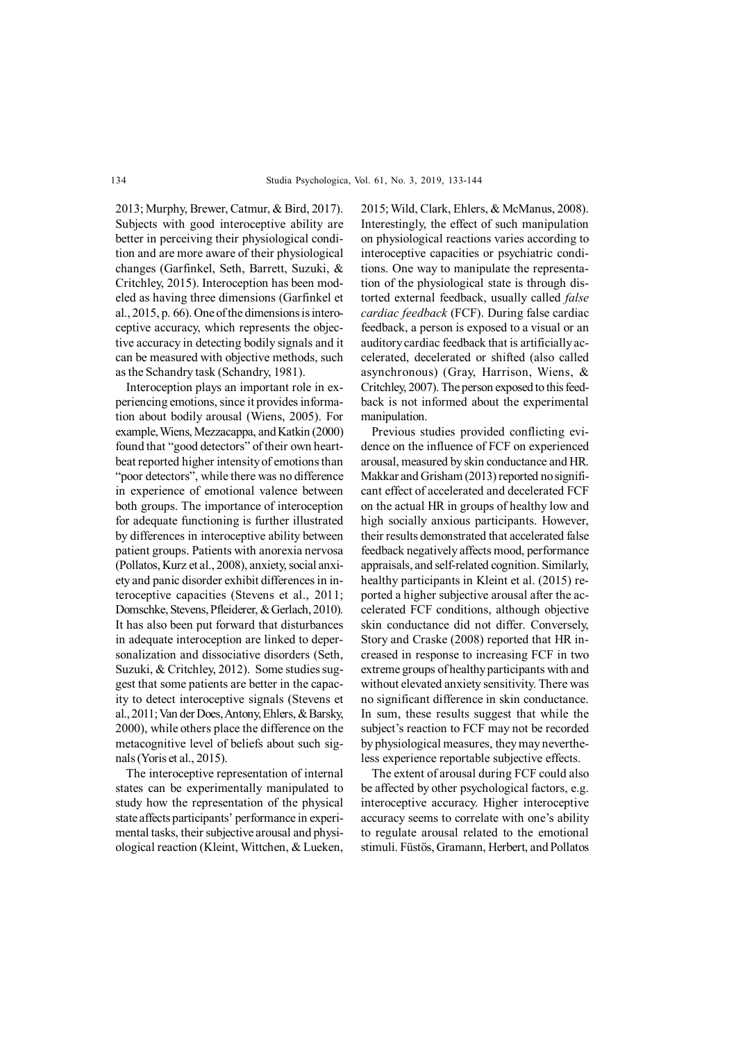2013; Murphy, Brewer, Catmur, & Bird, 2017). Subjects with good interoceptive ability are better in perceiving their physiological condition and are more aware of their physiological changes (Garfinkel, Seth, Barrett, Suzuki, & Critchley, 2015). Interoception has been modeled as having three dimensions (Garfinkel et al., 2015, p. 66). One of the dimensions is interoceptive accuracy, which represents the objective accuracy in detecting bodily signals and it can be measured with objective methods, such as the Schandry task (Schandry, 1981).

Interoception plays an important role in experiencing emotions, since it provides information about bodily arousal (Wiens, 2005). For example, Wiens, Mezzacappa, and Katkin (2000) found that "good detectors" of their own heartbeat reported higher intensity of emotions than "poor detectors", while there was no difference in experience of emotional valence between both groups. The importance of interoception for adequate functioning is further illustrated by differences in interoceptive ability between patient groups. Patients with anorexia nervosa (Pollatos, Kurz et al., 2008), anxiety, social anxiety and panic disorder exhibit differences in interoceptive capacities (Stevens et al., 2011; Domschke, Stevens, Pfleiderer, & Gerlach, 2010). It has also been put forward that disturbances in adequate interoception are linked to depersonalization and dissociative disorders (Seth, Suzuki, & Critchley, 2012). Some studies suggest that some patients are better in the capacity to detect interoceptive signals (Stevens et al., 2011; Van der Does, Antony, Ehlers, & Barsky, 2000), while others place the difference on the metacognitive level of beliefs about such signals (Yoris et al., 2015).

The interoceptive representation of internal states can be experimentally manipulated to study how the representation of the physical state affects participants' performance in experimental tasks, their subjective arousal and physiological reaction (Kleint, Wittchen, & Lueken, 2015; Wild, Clark, Ehlers, & McManus, 2008). Interestingly, the effect of such manipulation on physiological reactions varies according to interoceptive capacities or psychiatric conditions. One way to manipulate the representation of the physiological state is through distorted external feedback, usually called *false cardiac feedback* (FCF). During false cardiac feedback, a person is exposed to a visual or an auditory cardiac feedback that is artificially accelerated, decelerated or shifted (also called asynchronous) (Gray, Harrison, Wiens, & Critchley, 2007). The person exposed to this feedback is not informed about the experimental manipulation.

Previous studies provided conflicting evidence on the influence of FCF on experienced arousal, measured by skin conductance and HR. Makkar and Grisham (2013) reported no significant effect of accelerated and decelerated FCF on the actual HR in groups of healthy low and high socially anxious participants. However, their results demonstrated that accelerated false feedback negatively affects mood, performance appraisals, and self-related cognition. Similarly, healthy participants in Kleint et al. (2015) reported a higher subjective arousal after the accelerated FCF conditions, although objective skin conductance did not differ. Conversely, Story and Craske (2008) reported that HR increased in response to increasing FCF in two extreme groups of healthy participants with and without elevated anxiety sensitivity. There was no significant difference in skin conductance. In sum, these results suggest that while the subject's reaction to FCF may not be recorded by physiological measures, they may nevertheless experience reportable subjective effects.

The extent of arousal during FCF could also be affected by other psychological factors, e.g. interoceptive accuracy. Higher interoceptive accuracy seems to correlate with one's ability to regulate arousal related to the emotional stimuli. Füstös, Gramann, Herbert, and Pollatos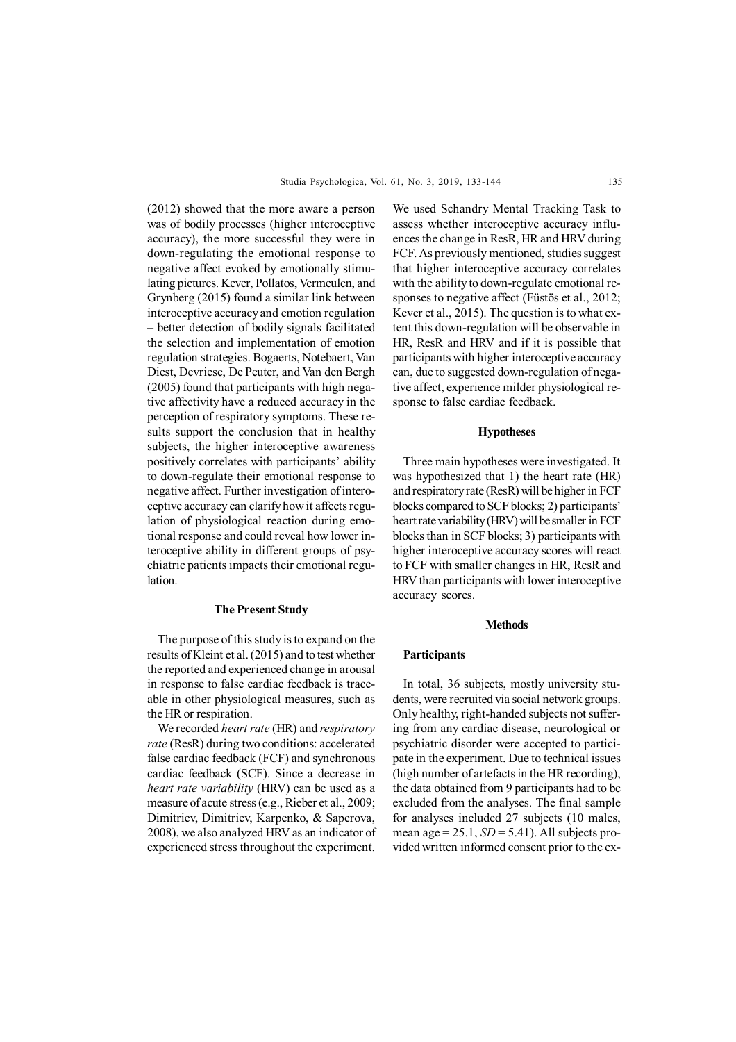(2012) showed that the more aware a person was of bodily processes (higher interoceptive accuracy), the more successful they were in down-regulating the emotional response to negative affect evoked by emotionally stimulating pictures. Kever, Pollatos, Vermeulen, and Grynberg (2015) found a similar link between interoceptive accuracy and emotion regulation – better detection of bodily signals facilitated the selection and implementation of emotion regulation strategies. Bogaerts, Notebaert, Van Diest, Devriese, De Peuter, and Van den Bergh (2005) found that participants with high negative affectivity have a reduced accuracy in the perception of respiratory symptoms. These results support the conclusion that in healthy subjects, the higher interoceptive awareness positively correlates with participants' ability to down-regulate their emotional response to negative affect. Further investigation of interoceptive accuracy can clarify how it affects regulation of physiological reaction during emotional response and could reveal how lower interoceptive ability in different groups of psychiatric patients impacts their emotional regulation.

## **The Present Study**

The purpose of this study is to expand on the results of Kleint et al. (2015) and to test whether the reported and experienced change in arousal in response to false cardiac feedback is traceable in other physiological measures, such as the HR or respiration.

We recorded *heart rate* (HR) and *respiratory rate* (ResR) during two conditions: accelerated false cardiac feedback (FCF) and synchronous cardiac feedback (SCF). Since a decrease in *heart rate variability* (HRV) can be used as a measure of acute stress (e.g., Rieber et al., 2009; Dimitriev, Dimitriev, Karpenko, & Saperova, 2008), we also analyzed HRV as an indicator of experienced stress throughout the experiment.

We used Schandry Mental Tracking Task to assess whether interoceptive accuracy influences the change in ResR, HR and HRV during FCF. As previously mentioned, studies suggest that higher interoceptive accuracy correlates with the ability to down-regulate emotional responses to negative affect (Füstös et al., 2012; Kever et al., 2015). The question is to what extent this down-regulation will be observable in HR, ResR and HRV and if it is possible that participants with higher interoceptive accuracy can, due to suggested down-regulation of negative affect, experience milder physiological response to false cardiac feedback.

# **Hypotheses**

Three main hypotheses were investigated. It was hypothesized that 1) the heart rate (HR) and respiratory rate (ResR) will be higher in FCF blocks compared to SCF blocks; 2) participants' heart rate variability (HRV) will be smaller in FCF blocks than in SCF blocks; 3) participants with higher interoceptive accuracy scores will react to FCF with smaller changes in HR, ResR and HRV than participants with lower interoceptive accuracy scores.

#### **Methods**

#### **Participants**

In total, 36 subjects, mostly university students, were recruited via social network groups. Only healthy, right-handed subjects not suffering from any cardiac disease, neurological or psychiatric disorder were accepted to participate in the experiment. Due to technical issues (high number of artefacts in the HR recording), the data obtained from 9 participants had to be excluded from the analyses. The final sample for analyses included 27 subjects (10 males, mean age =  $25.1$ ,  $SD = 5.41$ ). All subjects provided written informed consent prior to the ex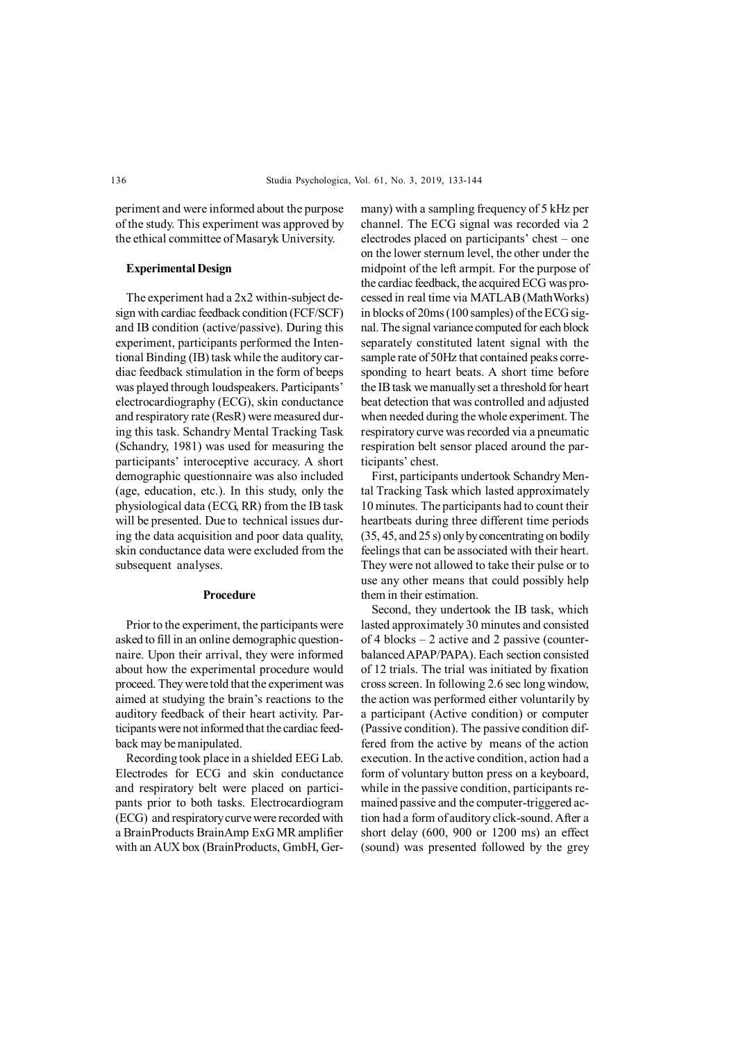periment and were informed about the purpose of the study. This experiment was approved by the ethical committee of Masaryk University.

# **Experimental Design**

The experiment had a 2x2 within-subject design with cardiac feedback condition (FCF/SCF) and IB condition (active/passive). During this experiment, participants performed the Intentional Binding (IB) task while the auditory cardiac feedback stimulation in the form of beeps was played through loudspeakers. Participants' electrocardiography (ECG), skin conductance and respiratory rate (ResR) were measured during this task. Schandry Mental Tracking Task (Schandry, 1981) was used for measuring the participants' interoceptive accuracy. A short demographic questionnaire was also included (age, education, etc.). In this study, only the physiological data (ECG, RR) from the IB task will be presented. Due to technical issues during the data acquisition and poor data quality, skin conductance data were excluded from the subsequent analyses.

### **Procedure**

Prior to the experiment, the participants were asked to fill in an online demographic questionnaire. Upon their arrival, they were informed about how the experimental procedure would proceed. They were told that the experiment was aimed at studying the brain's reactions to the auditory feedback of their heart activity. Participants were not informed that the cardiac feedback may be manipulated.

Recording took place in a shielded EEG Lab. Electrodes for ECG and skin conductance and respiratory belt were placed on participants prior to both tasks. Electrocardiogram (ECG) and respiratory curve were recorded with a BrainProducts BrainAmp ExG MR amplifier with an AUX box (BrainProducts, GmbH, Germany) with a sampling frequency of 5 kHz per channel. The ECG signal was recorded via 2 electrodes placed on participants' chest – one on the lower sternum level, the other under the midpoint of the left armpit. For the purpose of the cardiac feedback, the acquired ECG was processed in real time via MATLAB (MathWorks) in blocks of 20ms (100 samples) of the ECG signal. The signal variance computed for each block separately constituted latent signal with the sample rate of 50Hz that contained peaks corresponding to heart beats. A short time before the IB task we manually set a threshold for heart beat detection that was controlled and adjusted when needed during the whole experiment. The respiratory curve was recorded via a pneumatic respiration belt sensor placed around the participants' chest.

First, participants undertook Schandry Mental Tracking Task which lasted approximately 10 minutes. The participants had to count their heartbeats during three different time periods (35, 45, and 25 s) only by concentrating on bodily feelings that can be associated with their heart. They were not allowed to take their pulse or to use any other means that could possibly help them in their estimation.

Second, they undertook the IB task, which lasted approximately 30 minutes and consisted of 4 blocks – 2 active and 2 passive (counterbalanced APAP/PAPA). Each section consisted of 12 trials. The trial was initiated by fixation cross screen. In following 2.6 sec long window, the action was performed either voluntarily by a participant (Active condition) or computer (Passive condition). The passive condition differed from the active by means of the action execution. In the active condition, action had a form of voluntary button press on a keyboard, while in the passive condition, participants remained passive and the computer-triggered action had a form of auditory click-sound. After a short delay (600, 900 or 1200 ms) an effect (sound) was presented followed by the grey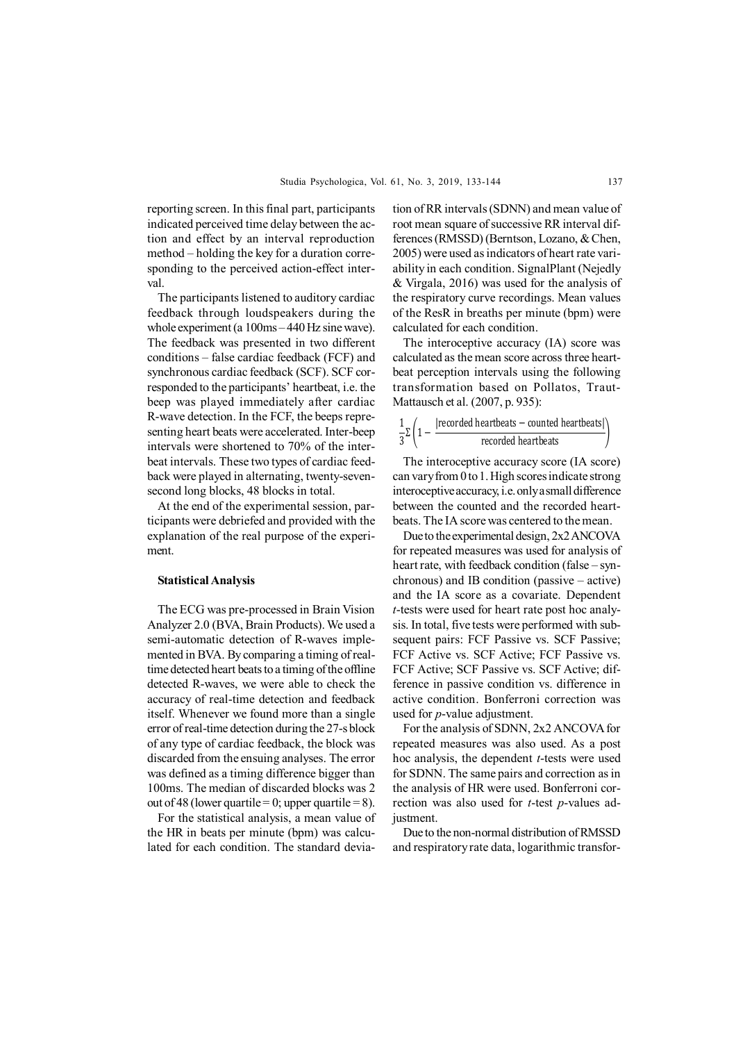reporting screen. In this final part, participants indicated perceived time delay between the action and effect by an interval reproduction method – holding the key for a duration corresponding to the perceived action-effect interval.

The participants listened to auditory cardiac feedback through loudspeakers during the whole experiment (a 100ms – 440 Hz sine wave). The feedback was presented in two different conditions – false cardiac feedback (FCF) and synchronous cardiac feedback (SCF). SCF corresponded to the participants' heartbeat, i.e. the beep was played immediately after cardiac R-wave detection. In the FCF, the beeps representing heart beats were accelerated. Inter-beep intervals were shortened to 70% of the interbeat intervals. These two types of cardiac feedback were played in alternating, twenty-sevensecond long blocks, 48 blocks in total.

At the end of the experimental session, participants were debriefed and provided with the explanation of the real purpose of the experiment.

### **Statistical Analysis**

The ECG was pre-processed in Brain Vision Analyzer 2.0 (BVA, Brain Products). We used a semi-automatic detection of R-waves implemented in BVA. By comparing a timing of realtime detected heart beats to a timing of the offline detected R-waves, we were able to check the accuracy of real-time detection and feedback itself. Whenever we found more than a single error of real-time detection during the 27-s block of any type of cardiac feedback, the block was discarded from the ensuing analyses. The error was defined as a timing difference bigger than 100ms. The median of discarded blocks was 2 out of 48 (lower quartile = 0; upper quartile = 8).

For the statistical analysis, a mean value of the HR in beats per minute (bpm) was calculated for each condition. The standard deviation of RR intervals (SDNN) and mean value of root mean square of successive RR interval differences (RMSSD) (Berntson, Lozano, & Chen, 2005) were used as indicators of heart rate variability in each condition. SignalPlant (Nejedly & Virgala, 2016) was used for the analysis of the respiratory curve recordings. Mean values of the ResR in breaths per minute (bpm) were calculated for each condition.

The interoceptive accuracy (IA) score was calculated as the mean score across three heartbeat perception intervals using the following transformation based on Pollatos, Traut-Mattausch et al. (2007, p. 935):

$$
\frac{1}{3}\Sigma \left( 1 - \frac{|recorded \text{ heartbeats} - counted \text{ heartbeats}|}{recorded \text{ heartbeats}} \right)
$$

The interoceptive accuracy score (IA score) can vary from 0 to 1. High scores indicate strong interoceptive accuracy, i.e. only a small difference between the counted and the recorded heartbeats. The IA score was centered to the mean.

Due to the experimental design, 2x2 ANCOVA for repeated measures was used for analysis of heart rate, with feedback condition (false – synchronous) and IB condition (passive – active) and the IA score as a covariate. Dependent *t*-tests were used for heart rate post hoc analysis. In total, five tests were performed with subsequent pairs: FCF Passive vs. SCF Passive; FCF Active vs. SCF Active; FCF Passive vs. FCF Active; SCF Passive vs. SCF Active; difference in passive condition vs. difference in active condition. Bonferroni correction was used for *p*-value adjustment.

For the analysis of SDNN, 2x2 ANCOVA for repeated measures was also used. As a post hoc analysis, the dependent *t*-tests were used for SDNN. The same pairs and correction as in the analysis of HR were used. Bonferroni correction was also used for *t*-test *p*-values adjustment.

Due to the non-normal distribution of RMSSD and respiratory rate data, logarithmic transfor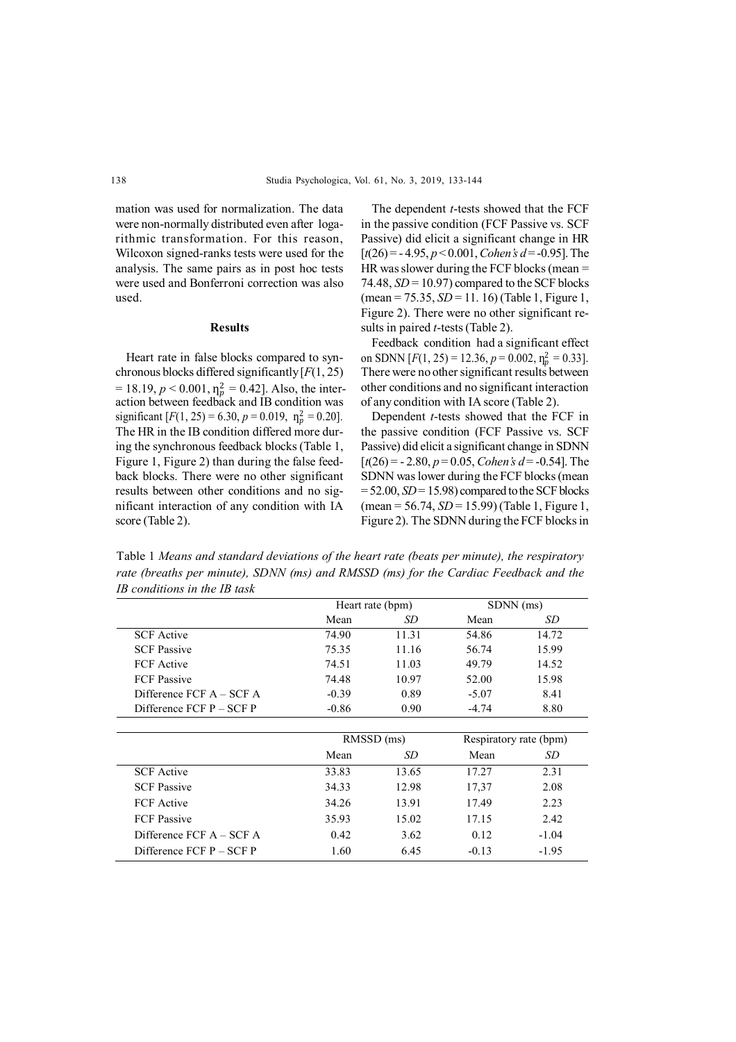mation was used for normalization. The data were non-normally distributed even after logarithmic transformation. For this reason, Wilcoxon signed-ranks tests were used for the analysis. The same pairs as in post hoc tests were used and Bonferroni correction was also used.

#### **Results**

Heart rate in false blocks compared to synchronous blocks differed significantly [*F*(1, 25) action between feedback and IB condition was The HR in the IB condition differed more during the synchronous feedback blocks (Table 1, Figure 1, Figure 2) than during the false feedback blocks. There were no other significant results between other conditions and no significant interaction of any condition with IA score (Table 2).  $= 18.19, p < 0.001, \eta_p^2 = 0.42$ . Also, the intersignificant  $[F(1, 25) = 6.30, p = 0.019, \eta_p^2 = 0.20]$ .

The dependent *t*-tests showed that the FCF in the passive condition (FCF Passive vs. SCF Passive) did elicit a significant change in HR [*t*(26) = - 4.95, *p* < 0.001, *Cohen's d* = -0.95]. The HR was slower during the FCF blocks (mean = 74.48,  $SD = 10.97$ ) compared to the SCF blocks (mean = 75.35, *SD* = 11. 16) (Table 1, Figure 1, Figure 2). There were no other significant results in paired *t*-tests (Table 2).

Feedback condition had a significant effect There were no other significant results between other conditions and no significant interaction of any condition with IA score (Table 2). on SDNN  $[F(1, 25) = 12.36, p = 0.002, \eta_p^2 = 0.33]$ .

Dependent *t*-tests showed that the FCF in the passive condition (FCF Passive vs. SCF Passive) did elicit a significant change in SDNN  $[t(26) = -2.80, p = 0.05, Cohen's d = -0.54]$ . The SDNN was lower during the FCF blocks (mean  $= 52.00, SD = 15.98$  compared to the SCF blocks (mean = 56.74, *SD* = 15.99) (Table 1, Figure 1, Figure 2). The SDNN during the FCF blocks in

Table 1 *Means and standard deviations of the heart rate (beats per minute), the respiratory rate (breaths per minute), SDNN (ms) and RMSSD (ms) for the Cardiac Feedback and the IB conditions in the IB task*

|                            | Heart rate (bpm) |            | SDNN (ms) |                        |  |
|----------------------------|------------------|------------|-----------|------------------------|--|
|                            | Mean             | SD         | Mean      | SD                     |  |
| <b>SCF</b> Active          | 74.90            | 11.31      | 54.86     | 14.72                  |  |
| <b>SCF Passive</b>         | 75.35            | 11.16      | 56.74     | 15.99                  |  |
| <b>FCF</b> Active          | 74.51            | 11.03      | 49.79     | 14.52                  |  |
| <b>FCF Passive</b>         | 74.48            | 10.97      | 52.00     | 15.98                  |  |
| Difference FCF A – SCF A   | $-0.39$          | 0.89       | $-5.07$   | 8.41                   |  |
| Difference $FCF P - SCF P$ | $-0.86$          | 0.90       | $-4.74$   | 8.80                   |  |
|                            |                  |            |           |                        |  |
|                            |                  | RMSSD (ms) |           | Respiratory rate (bpm) |  |
|                            | Mean             | SD         | Mean      | SD.                    |  |
| <b>SCF</b> Active          | 33.83            | 13.65      | 17.27     | 2.31                   |  |
| <b>SCF Passive</b>         | 34.33            | 12.98      | 17,37     | 2.08                   |  |
| <b>FCF</b> Active          | 34.26            | 13.91      | 17.49     | 2.23                   |  |
| <b>FCF Passive</b>         | 35.93            | 15.02      | 17.15     | 2.42                   |  |
| Difference $FCF A - SCF A$ | 0.42             | 3.62       | 0.12      | $-1.04$                |  |
| Difference $FCF P - SCF P$ | 1.60             | 6.45       | $-0.13$   | $-1.95$                |  |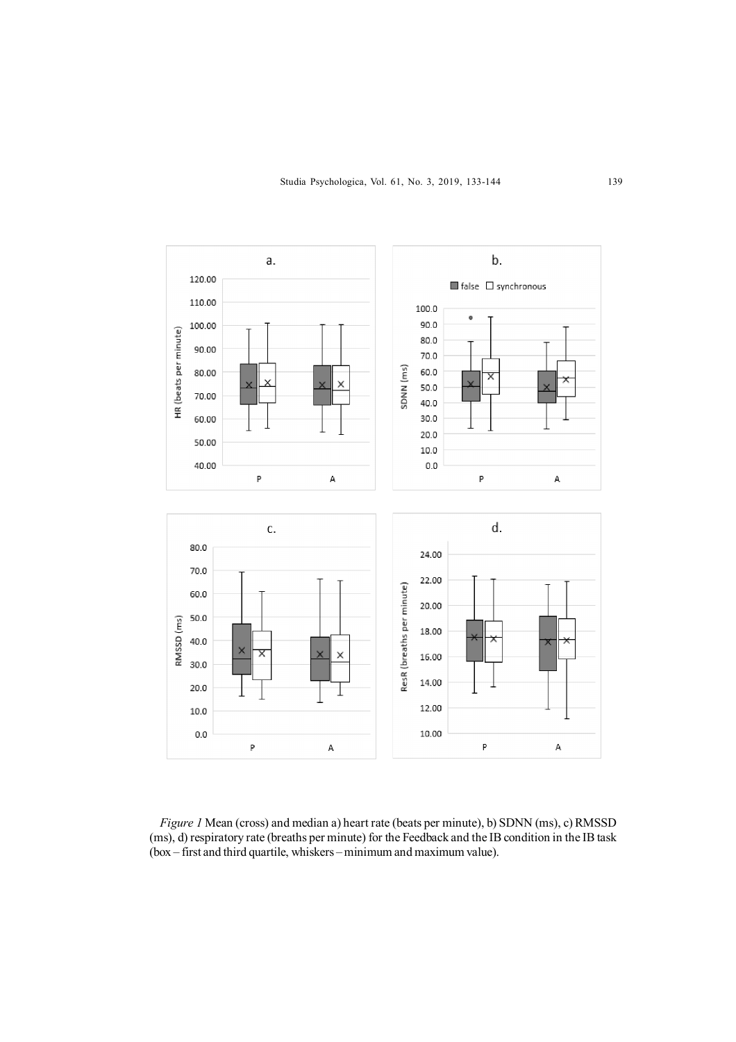

*Figure 1* Mean (cross) and median a) heart rate (beats per minute), b) SDNN (ms), c) RMSSD (ms), d) respiratory rate (breaths per minute) for the Feedback and the IB condition in the IB task (box – first and third quartile, whiskers – minimum and maximum value).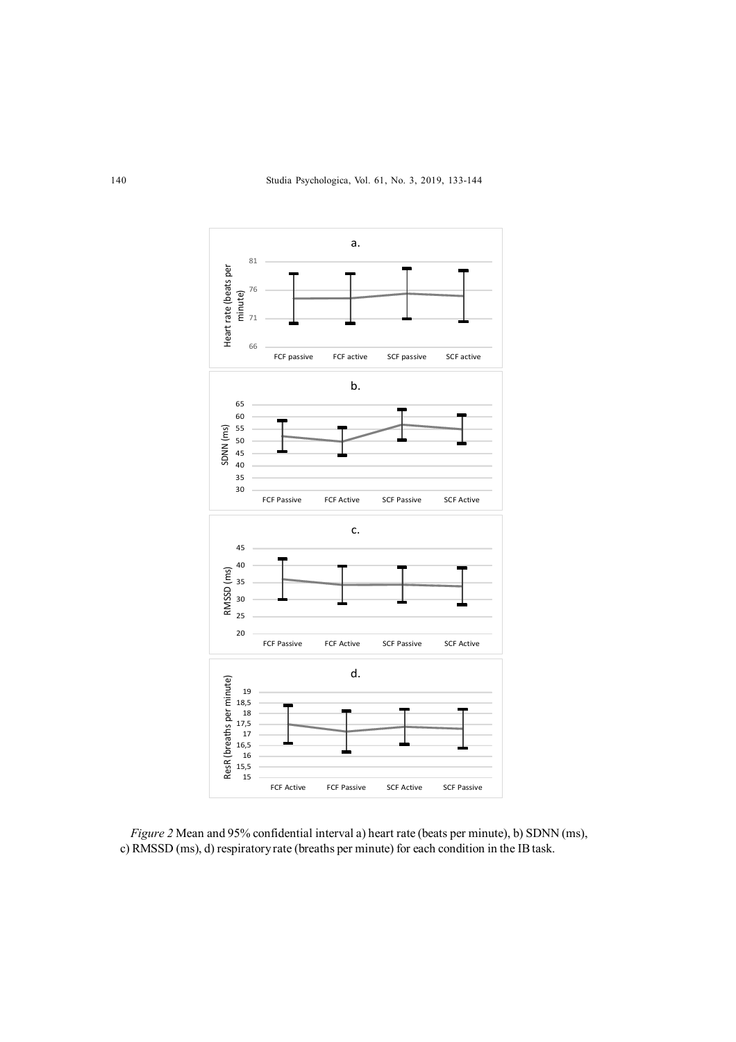

*Figure 2* Mean and 95% confidential interval a) heart rate (beats per minute), b) SDNN (ms), c) RMSSD (ms), d) respiratory rate (breaths per minute) for each condition in the IB task.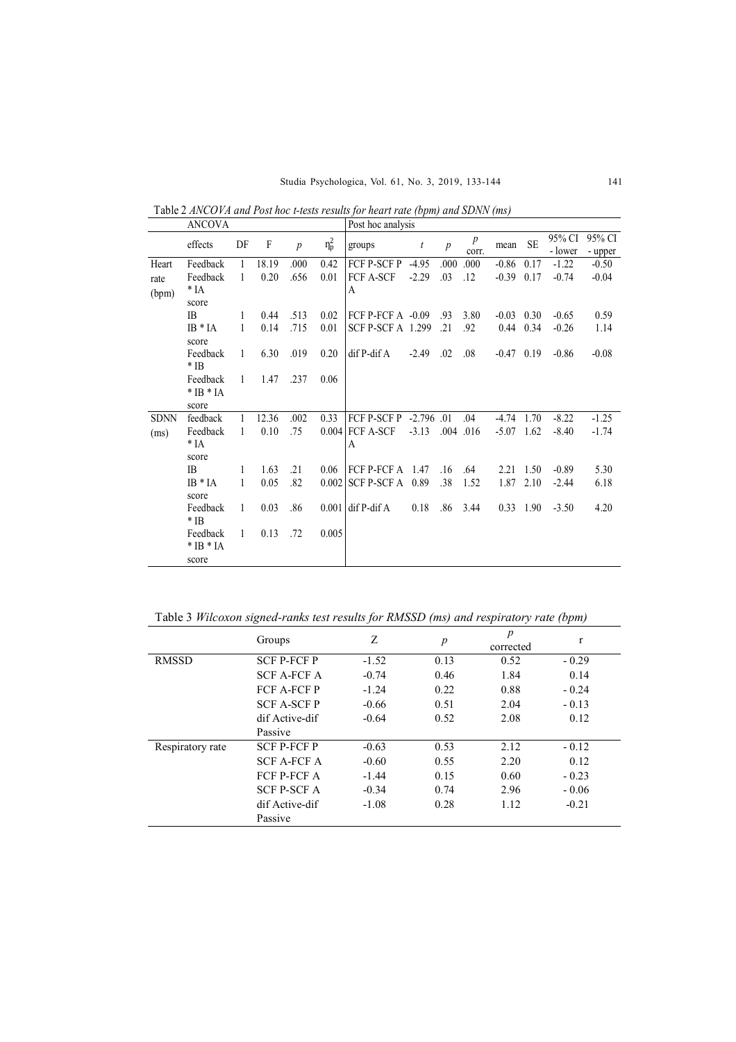Studia Psychologica, Vol. 61, No. 3, 2019, 133-144 141

|             | ANCOVA          |              |       |                  |            | Post hoc analysis        |                  |                  |                           |              |                   |                   |                   |
|-------------|-----------------|--------------|-------|------------------|------------|--------------------------|------------------|------------------|---------------------------|--------------|-------------------|-------------------|-------------------|
|             | effects         | DF           | F     | $\boldsymbol{p}$ | $\eta_p^2$ | groups                   | $\boldsymbol{t}$ | $\boldsymbol{p}$ | $\boldsymbol{p}$<br>corr. | mean         | <b>SE</b>         | 95% CI<br>- lower | 95% CI<br>- upper |
|             |                 |              | 18.19 | .000             | 0.42       |                          | $-4.95$          | .000             | .000                      |              |                   |                   | $-0.50$           |
| Heart       | Feedback        | 1            |       |                  |            | FCF P-SCF P              |                  |                  |                           | $-0.86$      | 0.17              | $-1.22$           |                   |
| rate        | Feedback        | $\mathbf{1}$ | 0.20  | .656             | 0.01       | <b>FCF A-SCF</b>         | $-2.29$          | .03              | .12                       | $-0.39$      | 0.17              | $-0.74$           | $-0.04$           |
| (bpm)       | $*$ IA<br>score |              |       |                  |            | A                        |                  |                  |                           |              |                   |                   |                   |
|             | IB.             | 1            | 0.44  | .513             | 0.02       | FCF P-FCF $A -0.09$      |                  | .93              | 3.80                      | $-0.03$ 0.30 |                   | $-0.65$           | 0.59              |
|             | $IB * IA$       | 1            | 0.14  | .715             | 0.01       | <b>SCF P-SCF A</b> 1.299 |                  | $\cdot$ 21       | .92                       |              | $0.44 \quad 0.34$ | $-0.26$           | 1.14              |
|             | score           |              |       |                  |            |                          |                  |                  |                           |              |                   |                   |                   |
|             | Feedback        | $\mathbf{1}$ | 6.30  | .019             | 0.20       | dif P-dif A              | $-2.49$          | .02              | .08                       | $-0.47$ 0.19 |                   | $-0.86$           | $-0.08$           |
|             | * IB            |              |       |                  |            |                          |                  |                  |                           |              |                   |                   |                   |
|             | Feedback        | $\mathbf{1}$ | 1.47  | .237             | 0.06       |                          |                  |                  |                           |              |                   |                   |                   |
|             | $*$ IB $*$ IA   |              |       |                  |            |                          |                  |                  |                           |              |                   |                   |                   |
|             | score           |              |       |                  |            |                          |                  |                  |                           |              |                   |                   |                   |
| <b>SDNN</b> | feedback        | 1            | 12.36 | .002             | 0.33       | FCF P-SCF P -2.796 .01   |                  |                  | .04                       | $-4.74$      | 1.70              | $-8.22$           | $-1.25$           |
| (ms)        | Feedback        | 1            | 0.10  | .75              |            | $0.004$ FCF A-SCF        | $-3.13$          |                  | $.004$ 016                | $-5.07$      | 1.62              | $-8.40$           | $-1.74$           |
|             | * IA            |              |       |                  |            | A                        |                  |                  |                           |              |                   |                   |                   |
|             | score           |              |       |                  |            |                          |                  |                  |                           |              |                   |                   |                   |
|             | <b>IB</b>       | 1            | 1.63  | .21              | 0.06       | FCF P-FCF $A$ 1.47       |                  | .16              | .64                       | 2.21         | 1.50              | $-0.89$           | 5.30              |
|             | $IB * IA$       | 1            | 0.05  | .82              | 0.002      | $SCF$ P-SCF A $0.89$     |                  | .38              | 1.52                      | 1.87         | 2.10              | $-2.44$           | 6.18              |
|             | score           |              |       |                  |            |                          |                  |                  |                           |              |                   |                   |                   |
|             | Feedback        | $\mathbf{1}$ | 0.03  | .86              | 0.001      | dif P-dif A              | 0.18             | .86              | 3.44                      |              | $0.33 \quad 1.90$ | $-3.50$           | 4.20              |
|             | $*$ IB          |              |       |                  |            |                          |                  |                  |                           |              |                   |                   |                   |
|             | Feedback        | 1            | 0.13  | .72              | 0.005      |                          |                  |                  |                           |              |                   |                   |                   |
|             | $*$ IB $*$ IA   |              |       |                  |            |                          |                  |                  |                           |              |                   |                   |                   |
|             | score           |              |       |                  |            |                          |                  |                  |                           |              |                   |                   |                   |

Table 2 *ANCOVA and Post hoc t-tests results for heart rate (bpm) and SDNN (ms)*

Table 3 *Wilcoxon signed-ranks test results for RMSSD (ms) and respiratory rate (bpm)*

|                  | Groups             | Ζ       | $\boldsymbol{p}$ | $\boldsymbol{p}$<br>corrected | $\mathbf{r}$ |
|------------------|--------------------|---------|------------------|-------------------------------|--------------|
| <b>RMSSD</b>     | <b>SCF P-FCF P</b> | $-1.52$ | 0.13             | 0.52                          | $-0.29$      |
|                  | <b>SCF A-FCF A</b> | $-0.74$ | 0.46             | 1.84                          | 0.14         |
|                  | <b>FCF A-FCF P</b> | $-1.24$ | 0.22             | 0.88                          | $-0.24$      |
|                  | <b>SCF A-SCF P</b> | $-0.66$ | 0.51             | 2.04                          | $-0.13$      |
|                  | dif Active-dif     | $-0.64$ | 0.52             | 2.08                          | 0.12         |
|                  | Passive            |         |                  |                               |              |
| Respiratory rate | <b>SCF P-FCF P</b> | $-0.63$ | 0.53             | 2.12                          | $-0.12$      |
|                  | <b>SCF A-FCF A</b> | $-0.60$ | 0.55             | 2.20                          | 0.12         |
|                  | FCF P-FCF A        | $-1.44$ | 0.15             | 0.60                          | $-0.23$      |
|                  | <b>SCF P-SCF A</b> | $-0.34$ | 0.74             | 2.96                          | $-0.06$      |
|                  | dif Active-dif     | $-1.08$ | 0.28             | 1.12                          | $-0.21$      |
|                  | Passive            |         |                  |                               |              |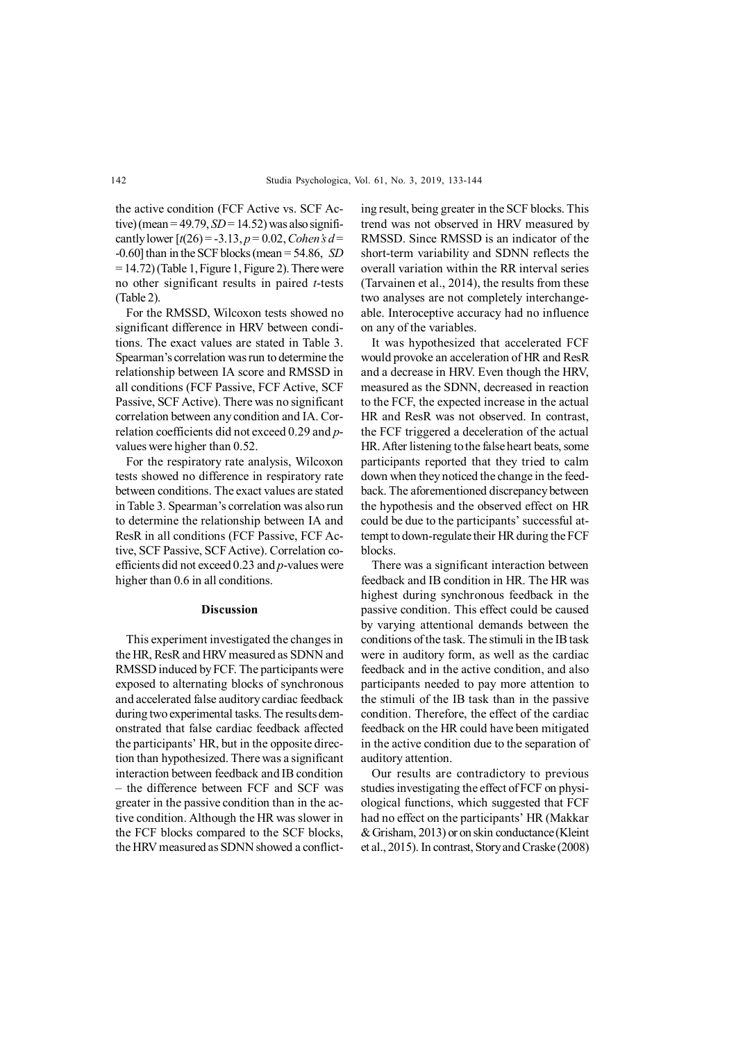the active condition (FCF Active vs. SCF Active) (mean =  $49.79$ ,  $SD = 14.52$ ) was also significantly lower  $[t(26) = -3.13, p = 0.02, Cohen's d =$ -0.60] than in the SCF blocks (mean = 54.86, *SD* = 14.72) (Table 1, Figure 1, Figure 2). There were no other significant results in paired *t*-tests (Table 2).

For the RMSSD, Wilcoxon tests showed no significant difference in HRV between conditions. The exact values are stated in Table 3. Spearman's correlation was run to determine the relationship between IA score and RMSSD in all conditions (FCF Passive, FCF Active, SCF Passive, SCF Active). There was no significant correlation between any condition and IA. Correlation coefficients did not exceed 0.29 and *p*values were higher than 0.52.

For the respiratory rate analysis, Wilcoxon tests showed no difference in respiratory rate between conditions. The exact values are stated in Table 3. Spearman's correlation was also run to determine the relationship between IA and ResR in all conditions (FCF Passive, FCF Active, SCF Passive, SCF Active). Correlation coefficients did not exceed 0.23 and *p*-values were higher than  $0.6$  in all conditions.

#### **Discussion**

This experiment investigated the changes in the HR, ResR and HRV measured as SDNN and RMSSD induced by FCF. The participants were exposed to alternating blocks of synchronous and accelerated false auditory cardiac feedback during two experimental tasks. The results demonstrated that false cardiac feedback affected the participants' HR, but in the opposite direction than hypothesized. There was a significant interaction between feedback and IB condition – the difference between FCF and SCF was greater in the passive condition than in the active condition. Although the HR was slower in the FCF blocks compared to the SCF blocks, the HRV measured as SDNN showed a conflicting result, being greater in the SCF blocks. This trend was not observed in HRV measured by RMSSD. Since RMSSD is an indicator of the short-term variability and SDNN reflects the overall variation within the RR interval series (Tarvainen et al., 2014), the results from these two analyses are not completely interchangeable. Interoceptive accuracy had no influence on any of the variables.

It was hypothesized that accelerated FCF would provoke an acceleration of HR and ResR and a decrease in HRV. Even though the HRV, measured as the SDNN, decreased in reaction to the FCF, the expected increase in the actual HR and ResR was not observed. In contrast, the FCF triggered a deceleration of the actual HR. After listening to the false heart beats, some participants reported that they tried to calm down when they noticed the change in the feedback. The aforementioned discrepancy between the hypothesis and the observed effect on HR could be due to the participants' successful attempt to down-regulate their HR during the FCF blocks.

There was a significant interaction between feedback and IB condition in HR. The HR was highest during synchronous feedback in the passive condition. This effect could be caused by varying attentional demands between the conditions of the task. The stimuli in the IB task were in auditory form, as well as the cardiac feedback and in the active condition, and also participants needed to pay more attention to the stimuli of the IB task than in the passive condition. Therefore, the effect of the cardiac feedback on the HR could have been mitigated in the active condition due to the separation of auditory attention.

Our results are contradictory to previous studies investigating the effect of FCF on physiological functions, which suggested that FCF had no effect on the participants' HR (Makkar & Grisham, 2013) or on skin conductance (Kleint et al., 2015). In contrast, Story and Craske (2008)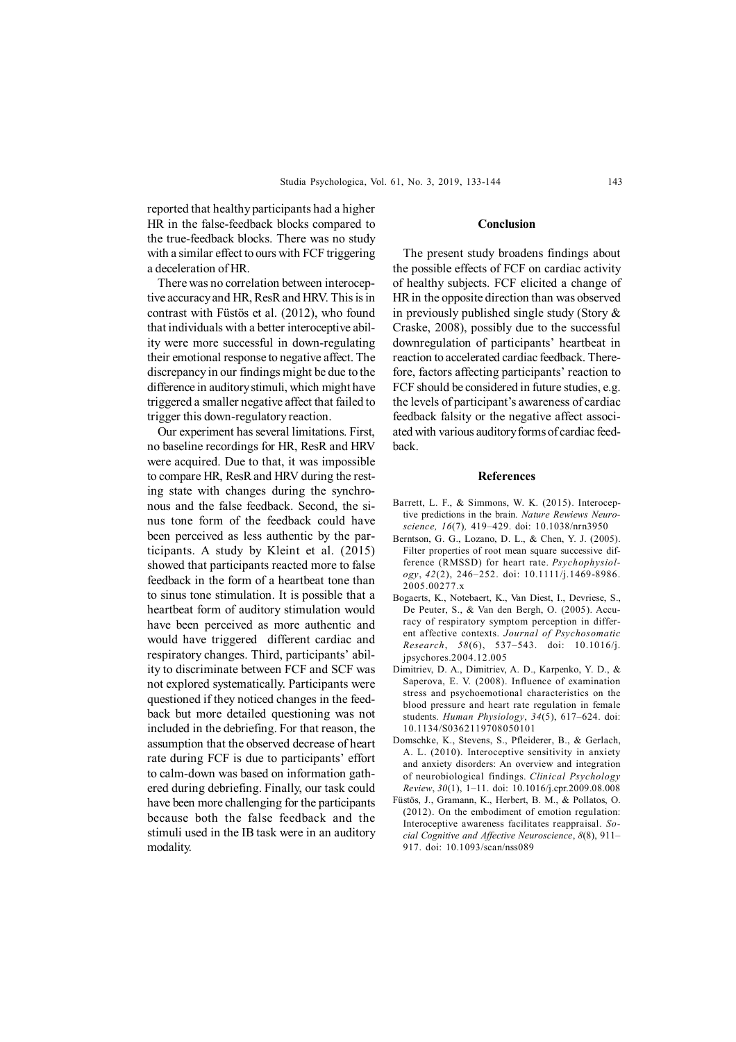reported that healthy participants had a higher HR in the false-feedback blocks compared to the true-feedback blocks. There was no study with a similar effect to ours with FCF triggering a deceleration of HR.

There was no correlation between interoceptive accuracy and HR, ResR and HRV. This is in contrast with Füstös et al. (2012), who found that individuals with a better interoceptive ability were more successful in down-regulating their emotional response to negative affect. The discrepancy in our findings might be due to the difference in auditory stimuli, which might have triggered a smaller negative affect that failed to trigger this down-regulatory reaction.

Our experiment has several limitations. First, no baseline recordings for HR, ResR and HRV were acquired. Due to that, it was impossible to compare HR, ResR and HRV during the resting state with changes during the synchronous and the false feedback. Second, the sinus tone form of the feedback could have been perceived as less authentic by the participants. A study by Kleint et al. (2015) showed that participants reacted more to false feedback in the form of a heartbeat tone than to sinus tone stimulation. It is possible that a heartbeat form of auditory stimulation would have been perceived as more authentic and would have triggered different cardiac and respiratory changes. Third, participants' ability to discriminate between FCF and SCF was not explored systematically. Participants were questioned if they noticed changes in the feedback but more detailed questioning was not included in the debriefing. For that reason, the assumption that the observed decrease of heart rate during FCF is due to participants' effort to calm-down was based on information gathered during debriefing. Finally, our task could have been more challenging for the participants because both the false feedback and the stimuli used in the IB task were in an auditory modality.

# **Conclusion**

The present study broadens findings about the possible effects of FCF on cardiac activity of healthy subjects. FCF elicited a change of HR in the opposite direction than was observed in previously published single study (Story & Craske, 2008), possibly due to the successful downregulation of participants' heartbeat in reaction to accelerated cardiac feedback. Therefore, factors affecting participants' reaction to FCF should be considered in future studies, e.g. the levels of participant's awareness of cardiac feedback falsity or the negative affect associated with various auditory forms of cardiac feedback.

#### **References**

- Barrett, L. F., & Simmons, W. K. (2015). Interoceptive predictions in the brain. *Nature Rewiews Neuroscience, 16*(7)*,* 419–429. doi: 10.1038/nrn3950
- Berntson, G. G., Lozano, D. L., & Chen, Y. J. (2005). Filter properties of root mean square successive difference (RMSSD) for heart rate. *Psychophysiology*, *42*(2), 246–252. doi: 10.1111/j.1469-8986. 2005.00277.x
- Bogaerts, K., Notebaert, K., Van Diest, I., Devriese, S., De Peuter, S., & Van den Bergh, O. (2005). Accuracy of respiratory symptom perception in different affective contexts. *Journal of Psychosomatic Research*, *58*(6), 537–543. doi: 10.1016/j. jpsychores.2004.12.005
- Dimitriev, D. A., Dimitriev, A. D., Karpenko, Y. D., & Saperova, E. V. (2008). Influence of examination stress and psychoemotional characteristics on the blood pressure and heart rate regulation in female students. *Human Physiology*, *34*(5), 617–624. doi: 10.1134/S0362119708050101
- Domschke, K., Stevens, S., Pfleiderer, B., & Gerlach, A. L. (2010). Interoceptive sensitivity in anxiety and anxiety disorders: An overview and integration of neurobiological findings. *Clinical Psychology Review*, *30*(1), 1–11. doi: 10.1016/j.cpr.2009.08.008
- Füstös, J., Gramann, K., Herbert, B. M., & Pollatos, O. (2012). On the embodiment of emotion regulation: Interoceptive awareness facilitates reappraisal. *Social Cognitive and Affective Neuroscience*, *8*(8), 911– 917. doi: 10.1093/scan/nss089